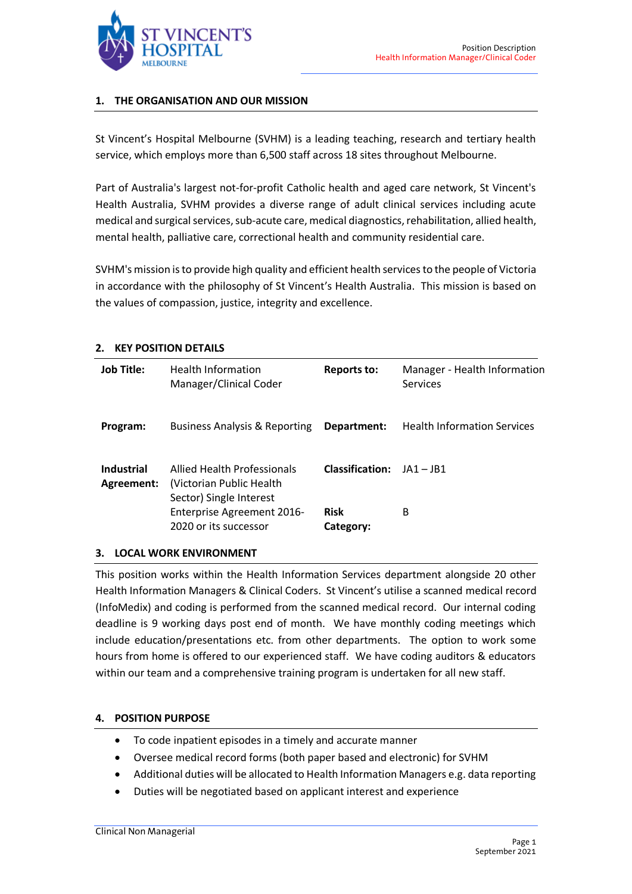

## **1. THE ORGANISATION AND OUR MISSION**

St Vincent's Hospital Melbourne (SVHM) is a leading teaching, research and tertiary health service, which employs more than 6,500 staff across 18 sites throughout Melbourne.

Part of Australia's largest not-for-profit Catholic health and aged care network, St Vincent's Health Australia, SVHM provides a diverse range of adult clinical services including acute medical and surgical services, sub-acute care, medical diagnostics, rehabilitation, allied health, mental health, palliative care, correctional health and community residential care.

SVHM's mission is to provide high quality and efficient health services to the people of Victoria in accordance with the philosophy of St Vincent's Health Australia. This mission is based on the values of compassion, justice, integrity and excellence.

|  |  |  | 2. KEY POSITION DETAILS |  |
|--|--|--|-------------------------|--|
|--|--|--|-------------------------|--|

| <b>Job Title:</b>               | <b>Health Information</b><br>Manager/Clinical Coder                                 | <b>Reports to:</b>       | Manager - Health Information<br>Services |
|---------------------------------|-------------------------------------------------------------------------------------|--------------------------|------------------------------------------|
| Program:                        | Business Analysis & Reporting                                                       | Department:              | <b>Health Information Services</b>       |
| <b>Industrial</b><br>Agreement: | Allied Health Professionals<br>(Victorian Public Health)<br>Sector) Single Interest | <b>Classification:</b>   | $IA1 - IB1$                              |
|                                 | <b>Enterprise Agreement 2016-</b><br>2020 or its successor                          | <b>Risk</b><br>Category: | B                                        |

### **3. LOCAL WORK ENVIRONMENT**

This position works within the Health Information Services department alongside 20 other Health Information Managers & Clinical Coders. St Vincent's utilise a scanned medical record (InfoMedix) and coding is performed from the scanned medical record. Our internal coding deadline is 9 working days post end of month. We have monthly coding meetings which include education/presentations etc. from other departments. The option to work some hours from home is offered to our experienced staff. We have coding auditors & educators within our team and a comprehensive training program is undertaken for all new staff.

### **4. POSITION PURPOSE**

- To code inpatient episodes in a timely and accurate manner
- Oversee medical record forms (both paper based and electronic) for SVHM
- Additional duties will be allocated to Health Information Managers e.g. data reporting
- Duties will be negotiated based on applicant interest and experience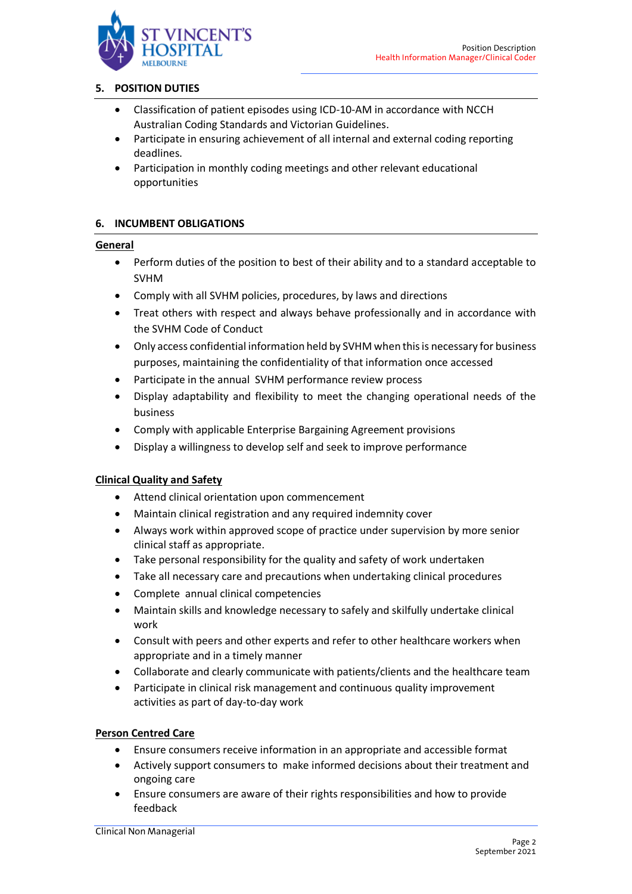

## **5. POSITION DUTIES**

- Classification of patient episodes using ICD-10-AM in accordance with NCCH Australian Coding Standards and Victorian Guidelines.
- Participate in ensuring achievement of all internal and external coding reporting deadlines.
- Participation in monthly coding meetings and other relevant educational opportunities

# **6. INCUMBENT OBLIGATIONS**

### **General**

- Perform duties of the position to best of their ability and to a standard acceptable to SVHM
- Comply with all SVHM policies, procedures, by laws and directions
- Treat others with respect and always behave professionally and in accordance with the SVHM Code of Conduct
- Only access confidential information held by SVHM when this is necessary for business purposes, maintaining the confidentiality of that information once accessed
- Participate in the annual SVHM performance review process
- Display adaptability and flexibility to meet the changing operational needs of the business
- Comply with applicable Enterprise Bargaining Agreement provisions
- Display a willingness to develop self and seek to improve performance

### **Clinical Quality and Safety**

- Attend clinical orientation upon commencement
- Maintain clinical registration and any required indemnity cover
- Always work within approved scope of practice under supervision by more senior clinical staff as appropriate.
- Take personal responsibility for the quality and safety of work undertaken
- Take all necessary care and precautions when undertaking clinical procedures
- Complete annual clinical competencies
- Maintain skills and knowledge necessary to safely and skilfully undertake clinical work
- Consult with peers and other experts and refer to other healthcare workers when appropriate and in a timely manner
- Collaborate and clearly communicate with patients/clients and the healthcare team
- Participate in clinical risk management and continuous quality improvement activities as part of day-to-day work

### **Person Centred Care**

- Ensure consumers receive information in an appropriate and accessible format
- Actively support consumers to make informed decisions about their treatment and ongoing care
- Ensure consumers are aware of their rights responsibilities and how to provide feedback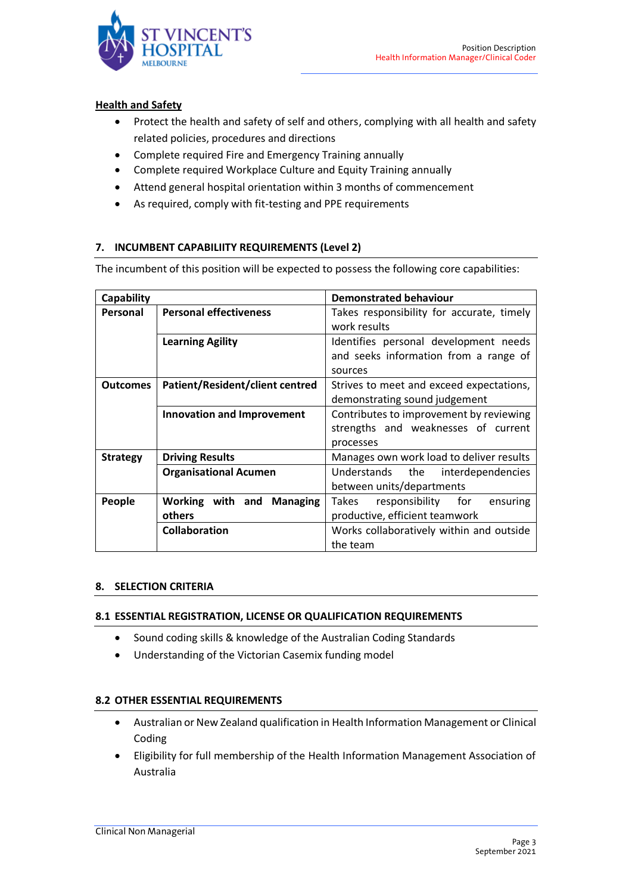

## **Health and Safety**

- Protect the health and safety of self and others, complying with all health and safety related policies, procedures and directions
- Complete required Fire and Emergency Training annually
- Complete required Workplace Culture and Equity Training annually
- Attend general hospital orientation within 3 months of commencement
- As required, comply with fit-testing and PPE requirements

# **7. INCUMBENT CAPABILIITY REQUIREMENTS (Level 2)**

The incumbent of this position will be expected to possess the following core capabilities:

| Capability      |                                   | <b>Demonstrated behaviour</b>                                                               |  |  |
|-----------------|-----------------------------------|---------------------------------------------------------------------------------------------|--|--|
| Personal        | <b>Personal effectiveness</b>     | Takes responsibility for accurate, timely<br>work results                                   |  |  |
|                 | <b>Learning Agility</b>           | Identifies personal development needs<br>and seeks information from a range of<br>sources   |  |  |
| <b>Outcomes</b> | Patient/Resident/client centred   | Strives to meet and exceed expectations,<br>demonstrating sound judgement                   |  |  |
|                 | <b>Innovation and Improvement</b> | Contributes to improvement by reviewing<br>strengths and weaknesses of current<br>processes |  |  |
| <b>Strategy</b> | <b>Driving Results</b>            | Manages own work load to deliver results                                                    |  |  |
|                 | <b>Organisational Acumen</b>      | Understands the<br>interdependencies<br>between units/departments                           |  |  |
| People          | Working with and Managing         | Takes<br>responsibility for<br>ensuring                                                     |  |  |
|                 | others                            | productive, efficient teamwork                                                              |  |  |
|                 | <b>Collaboration</b>              | Works collaboratively within and outside                                                    |  |  |
|                 |                                   | the team                                                                                    |  |  |

### **8. SELECTION CRITERIA**

### **8.1 ESSENTIAL REGISTRATION, LICENSE OR QUALIFICATION REQUIREMENTS**

- Sound coding skills & knowledge of the Australian Coding Standards
- Understanding of the Victorian Casemix funding model

### **8.2 OTHER ESSENTIAL REQUIREMENTS**

- Australian or New Zealand qualification in Health Information Management or Clinical Coding
- Eligibility for full membership of the Health Information Management Association of Australia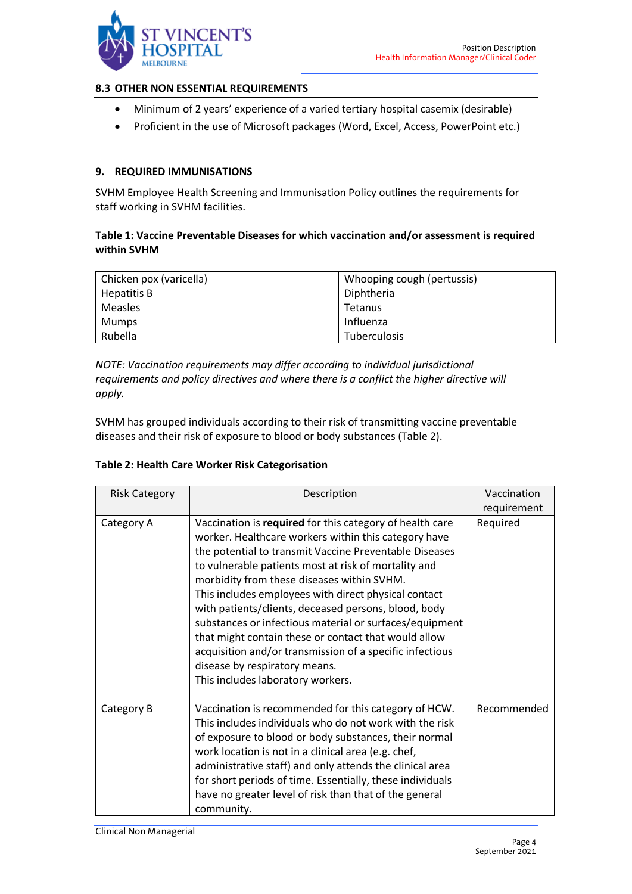

### **8.3 OTHER NON ESSENTIAL REQUIREMENTS**

- Minimum of 2 years' experience of a varied tertiary hospital casemix (desirable)
- Proficient in the use of Microsoft packages (Word, Excel, Access, PowerPoint etc.)

### **9. REQUIRED IMMUNISATIONS**

SVHM Employee Health Screening and Immunisation Policy outlines the requirements for staff working in SVHM facilities.

## **Table 1: Vaccine Preventable Diseases for which vaccination and/or assessment is required within SVHM**

| Chicken pox (varicella) | Whooping cough (pertussis) |
|-------------------------|----------------------------|
| Hepatitis B             | Diphtheria                 |
| <b>Measles</b>          | Tetanus                    |
| Mumps                   | Influenza                  |
| Rubella                 | <b>Tuberculosis</b>        |

*NOTE: Vaccination requirements may differ according to individual jurisdictional requirements and policy directives and where there is a conflict the higher directive will apply.* 

SVHM has grouped individuals according to their risk of transmitting vaccine preventable diseases and their risk of exposure to blood or body substances (Table 2).

#### **Table 2: Health Care Worker Risk Categorisation**

| <b>Risk Category</b> | Description                                                                                                                                                                                                                                                                                                                                                                                                                                                                                                                                                                                                                                           | Vaccination |
|----------------------|-------------------------------------------------------------------------------------------------------------------------------------------------------------------------------------------------------------------------------------------------------------------------------------------------------------------------------------------------------------------------------------------------------------------------------------------------------------------------------------------------------------------------------------------------------------------------------------------------------------------------------------------------------|-------------|
|                      |                                                                                                                                                                                                                                                                                                                                                                                                                                                                                                                                                                                                                                                       | requirement |
| Category A           | Vaccination is required for this category of health care<br>worker. Healthcare workers within this category have<br>the potential to transmit Vaccine Preventable Diseases<br>to vulnerable patients most at risk of mortality and<br>morbidity from these diseases within SVHM.<br>This includes employees with direct physical contact<br>with patients/clients, deceased persons, blood, body<br>substances or infectious material or surfaces/equipment<br>that might contain these or contact that would allow<br>acquisition and/or transmission of a specific infectious<br>disease by respiratory means.<br>This includes laboratory workers. | Required    |
| Category B           | Vaccination is recommended for this category of HCW.<br>This includes individuals who do not work with the risk<br>of exposure to blood or body substances, their normal<br>work location is not in a clinical area (e.g. chef,<br>administrative staff) and only attends the clinical area<br>for short periods of time. Essentially, these individuals<br>have no greater level of risk than that of the general<br>community.                                                                                                                                                                                                                      | Recommended |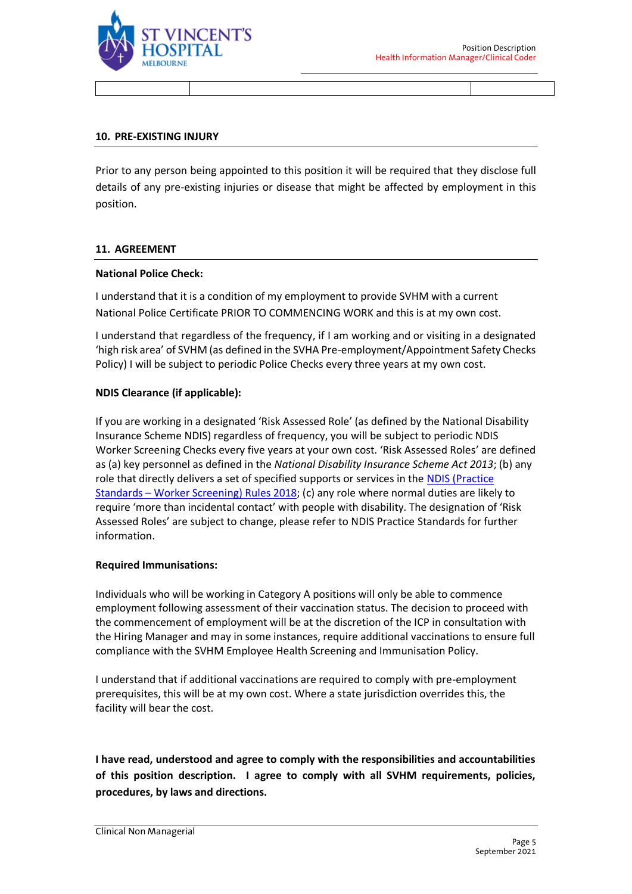

#### **10. PRE-EXISTING INJURY**

Prior to any person being appointed to this position it will be required that they disclose full details of any pre-existing injuries or disease that might be affected by employment in this position.

#### **11. AGREEMENT**

#### **National Police Check:**

I understand that it is a condition of my employment to provide SVHM with a current National Police Certificate PRIOR TO COMMENCING WORK and this is at my own cost.

I understand that regardless of the frequency, if I am working and or visiting in a designated 'high risk area' of SVHM (as defined in the SVHA Pre-employment/Appointment Safety Checks Policy) I will be subject to periodic Police Checks every three years at my own cost.

### **NDIS Clearance (if applicable):**

If you are working in a designated 'Risk Assessed Role' (as defined by the National Disability Insurance Scheme NDIS) regardless of frequency, you will be subject to periodic NDIS Worker Screening Checks every five years at your own cost. 'Risk Assessed Roles' are defined as (a) key personnel as defined in the *National Disability Insurance Scheme Act 2013*; (b) any role that directly delivers a set of specified supports or services in the [NDIS \(Practice](https://www.ndiscommission.gov.au/document/891)  Standards – [Worker Screening\) Rules](https://www.ndiscommission.gov.au/document/891) 2018; (c) any role where normal duties are likely to require 'more than incidental contact' with people with disability. The designation of 'Risk Assessed Roles' are subject to change, please refer to NDIS Practice Standards for further information.

#### **Required Immunisations:**

Individuals who will be working in Category A positions will only be able to commence employment following assessment of their vaccination status. The decision to proceed with the commencement of employment will be at the discretion of the ICP in consultation with the Hiring Manager and may in some instances, require additional vaccinations to ensure full compliance with the SVHM Employee Health Screening and Immunisation Policy.

I understand that if additional vaccinations are required to comply with pre-employment prerequisites, this will be at my own cost. Where a state jurisdiction overrides this, the facility will bear the cost.

**I have read, understood and agree to comply with the responsibilities and accountabilities of this position description. I agree to comply with all SVHM requirements, policies, procedures, by laws and directions.**